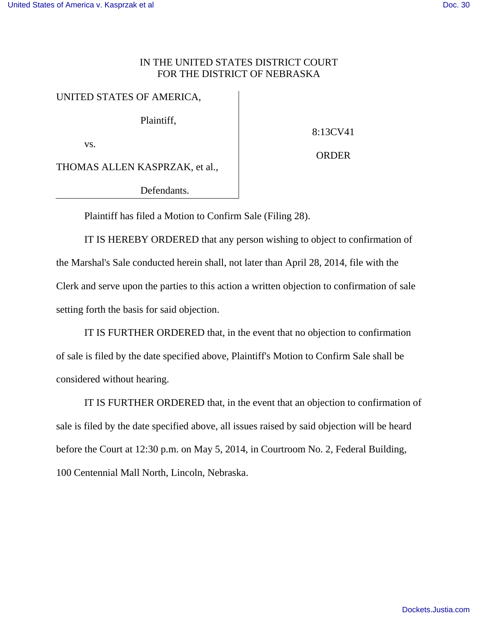## IN THE UNITED STATES DISTRICT COURT FOR THE DISTRICT OF NEBRASKA

## UNITED STATES OF AMERICA,

Plaintiff,

vs.

8:13CV41

ORDER

THOMAS ALLEN KASPRZAK, et al.,

Defendants.

Plaintiff has filed a Motion to Confirm Sale (Filing 28).

 IT IS HEREBY ORDERED that any person wishing to object to confirmation of the Marshal's Sale conducted herein shall, not later than April 28, 2014, file with the Clerk and serve upon the parties to this action a written objection to confirmation of sale setting forth the basis for said objection.

 IT IS FURTHER ORDERED that, in the event that no objection to confirmation of sale is filed by the date specified above, Plaintiff's Motion to Confirm Sale shall be considered without hearing.

 IT IS FURTHER ORDERED that, in the event that an objection to confirmation of sale is filed by the date specified above, all issues raised by said objection will be heard before the Court at 12:30 p.m. on May 5, 2014, in Courtroom No. 2, Federal Building, 100 Centennial Mall North, Lincoln, Nebraska.